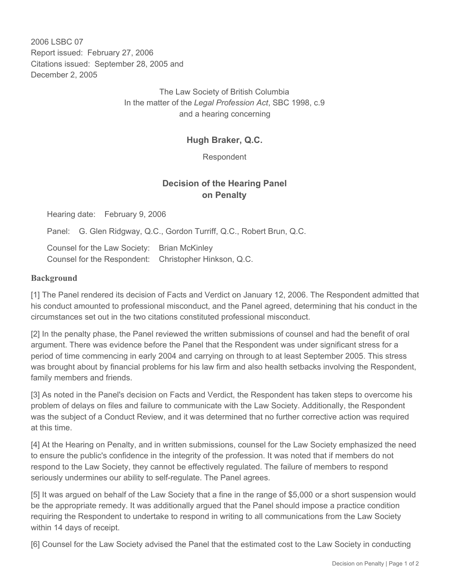2006 LSBC 07 Report issued: February 27, 2006 Citations issued: September 28, 2005 and December 2, 2005

> The Law Society of British Columbia In the matter of the *Legal Profession Act*, SBC 1998, c.9 and a hearing concerning

## **Hugh Braker, Q.C.**

Respondent

# **Decision of the Hearing Panel on Penalty**

Hearing date: February 9, 2006

Panel: G. Glen Ridgway, Q.C., Gordon Turriff, Q.C., Robert Brun, Q.C.

Counsel for the Law Society: Brian McKinley Counsel for the Respondent: Christopher Hinkson, Q.C.

#### **Background**

[1] The Panel rendered its decision of Facts and Verdict on January 12, 2006. The Respondent admitted that his conduct amounted to professional misconduct, and the Panel agreed, determining that his conduct in the circumstances set out in the two citations constituted professional misconduct.

[2] In the penalty phase, the Panel reviewed the written submissions of counsel and had the benefit of oral argument. There was evidence before the Panel that the Respondent was under significant stress for a period of time commencing in early 2004 and carrying on through to at least September 2005. This stress was brought about by financial problems for his law firm and also health setbacks involving the Respondent, family members and friends.

[3] As noted in the Panel's decision on Facts and Verdict, the Respondent has taken steps to overcome his problem of delays on files and failure to communicate with the Law Society. Additionally, the Respondent was the subject of a Conduct Review, and it was determined that no further corrective action was required at this time.

[4] At the Hearing on Penalty, and in written submissions, counsel for the Law Society emphasized the need to ensure the public's confidence in the integrity of the profession. It was noted that if members do not respond to the Law Society, they cannot be effectively regulated. The failure of members to respond seriously undermines our ability to self-regulate. The Panel agrees.

[5] It was argued on behalf of the Law Society that a fine in the range of \$5,000 or a short suspension would be the appropriate remedy. It was additionally argued that the Panel should impose a practice condition requiring the Respondent to undertake to respond in writing to all communications from the Law Society within 14 days of receipt.

[6] Counsel for the Law Society advised the Panel that the estimated cost to the Law Society in conducting